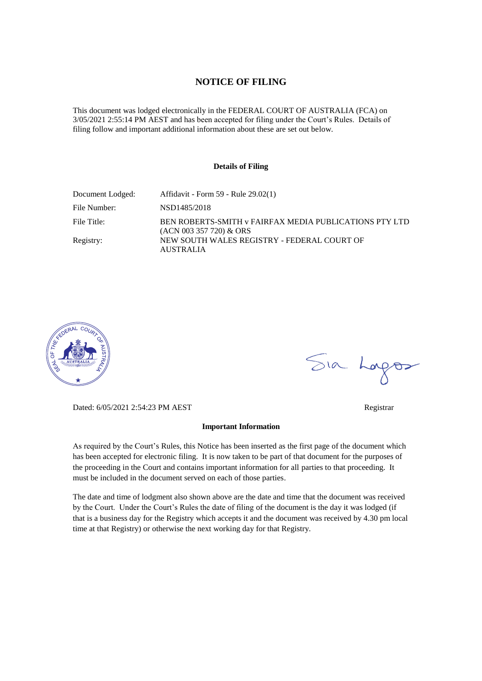#### **NOTICE OF FILING**

This document was lodged electronically in the FEDERAL COURT OF AUSTRALIA (FCA) on 3/05/2021 2:55:14 PM AEST and has been accepted for filing under the Court's Rules. Details of filing follow and important additional information about these are set out below.

#### **Details of Filing**

| Document Lodged: | Affidavit - Form 59 - Rule 29.02(1)                                                 |
|------------------|-------------------------------------------------------------------------------------|
| File Number:     | NSD1485/2018                                                                        |
| File Title:      | BEN ROBERTS-SMITH v FAIRFAX MEDIA PUBLICATIONS PTY LTD<br>$(ACN 003 357 720)$ & ORS |
| Registry:        | NEW SOUTH WALES REGISTRY - FEDERAL COURT OF<br><b>AUSTRALIA</b>                     |



Sia Logos

Dated: 6/05/2021 2:54:23 PM AEST Registrar

#### **Important Information**

As required by the Court's Rules, this Notice has been inserted as the first page of the document which has been accepted for electronic filing. It is now taken to be part of that document for the purposes of the proceeding in the Court and contains important information for all parties to that proceeding. It must be included in the document served on each of those parties.

The date and time of lodgment also shown above are the date and time that the document was received by the Court. Under the Court's Rules the date of filing of the document is the day it was lodged (if that is a business day for the Registry which accepts it and the document was received by 4.30 pm local time at that Registry) or otherwise the next working day for that Registry.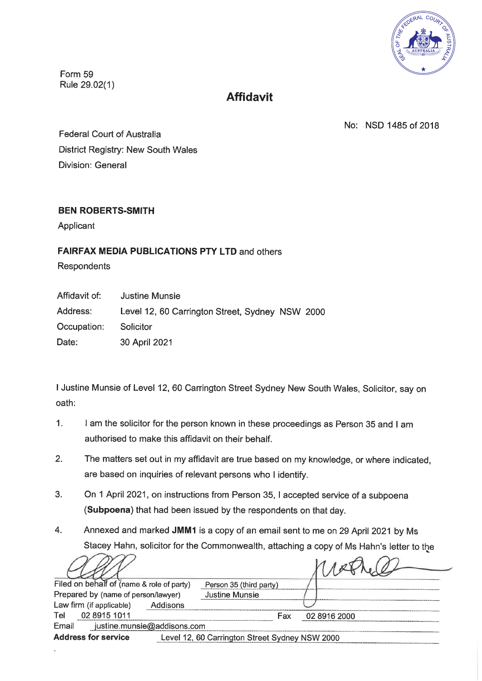

Form 59 Rule 29.02(1)

# **Affidavit**

No: NSD 1485 of 2018

**Federal Court of Australia** District Registry: New South Wales Division: General

# **BEN ROBERTS-SMITH**

Applicant

# **FAIRFAX MEDIA PUBLICATIONS PTY LTD and others**

Respondents

Affidavit of: **Justine Munsie** Address: Level 12, 60 Carrington Street, Sydney NSW 2000 Occupation: Solicitor 30 April 2021 Date:

I Justine Munsie of Level 12, 60 Carrington Street Sydney New South Wales, Solicitor, say on oath:

- $1<sub>1</sub>$ I am the solicitor for the person known in these proceedings as Person 35 and I am authorised to make this affidavit on their behalf.
- $2.$ The matters set out in my affidavit are true based on my knowledge, or where indicated, are based on inquiries of relevant persons who I identify.
- $3<sub>1</sub>$ On 1 April 2021, on instructions from Person 35, I accepted service of a subpoena (Subpoena) that had been issued by the respondents on that day.
- Annexed and marked JMM1 is a copy of an email sent to me on 29 April 2021 by Ms 4. Stacey Hahn, solicitor for the Commonwealth, attaching a copy of Ms Hahn's letter to the

| Filed on behalf of (name & role of party) | Person 35 (third party)                        |              |
|-------------------------------------------|------------------------------------------------|--------------|
| Prepared by (name of person/lawyer)       | <b>Justine Munsie</b>                          |              |
| Law firm (if applicable)<br>Addisons      |                                                |              |
| 02 8915 1011<br>Tel                       | Fax                                            | 02 8916 2000 |
| justine.munsie@addisons.com<br>Email      |                                                |              |
| <b>Address for service</b>                | Level 12, 60 Carrington Street Sydney NSW 2000 |              |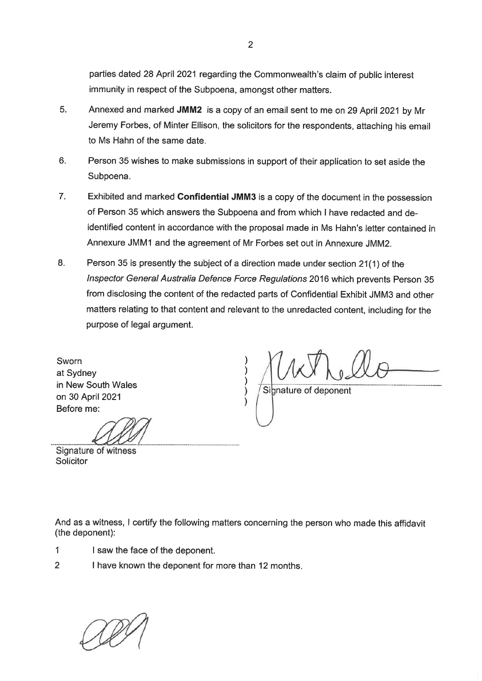parties dated 28 April 2021 regarding the Commonwealth's claim of public interest immunity in respect of the Subpoena, amongst other matters.

- 5. Annexed and marked JMM2 is a copy of an email sent to me on 29 April 2021 by Mr Jeremy Forbes, of Minter Ellison, the solicitors for the respondents, attaching his email to Ms Hahn of the same date.
- 6. Person 35 wishes to make submissions in support of their application to set aside the Subpoena.
- Exhibited and marked Confidential JMM3 is a copy of the document in the possession 7. of Person 35 which answers the Subpoena and from which I have redacted and deidentified content in accordance with the proposal made in Ms Hahn's letter contained in Annexure JMM1 and the agreement of Mr Forbes set out in Annexure JMM2.
- 8. Person 35 is presently the subject of a direction made under section 21(1) of the Inspector General Australia Defence Force Regulations 2016 which prevents Person 35 from disclosing the content of the redacted parts of Confidential Exhibit JMM3 and other matters relating to that content and relevant to the unredacted content, including for the purpose of legal argument.

Sworn at Sydney in New South Wales on 30 April 2021 Before me:

Signature of deponent

Signature of witness Solicitor

And as a witness, I certify the following matters concerning the person who made this affidavit (the deponent):

- $\mathbf 1$ I saw the face of the deponent.
- $\overline{2}$ I have known the deponent for more than 12 months.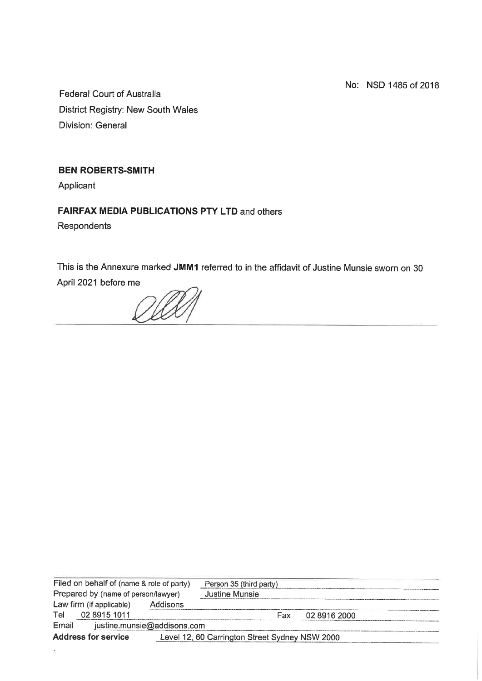No: NSD 1485 of 2018

**Federal Court of Australia District Registry: New South Wales Division: General** 

# **BEN ROBERTS-SMITH**

Applicant

# **FAIRFAX MEDIA PUBLICATIONS PTY LTD and others**

Respondents

This is the Annexure marked JMM1 referred to in the affidavit of Justine Munsie sworn on 30 April 2021 before me

|                                     | Filed on behalf of (name & role of party) |                                                | Person 35 (third party) |     |              |  |
|-------------------------------------|-------------------------------------------|------------------------------------------------|-------------------------|-----|--------------|--|
| Prepared by (name of person/lawyer) |                                           | Justine Munsie                                 |                         |     |              |  |
|                                     | Law firm (if applicable)                  | Addisons                                       |                         |     |              |  |
| Tel                                 | 02 8915 1011                              |                                                |                         | Fax | 02 8916 2000 |  |
| Email                               |                                           | justine.munsie@addisons.com                    |                         |     |              |  |
| <b>Address for service</b>          |                                           | Level 12, 60 Carrington Street Sydney NSW 2000 |                         |     |              |  |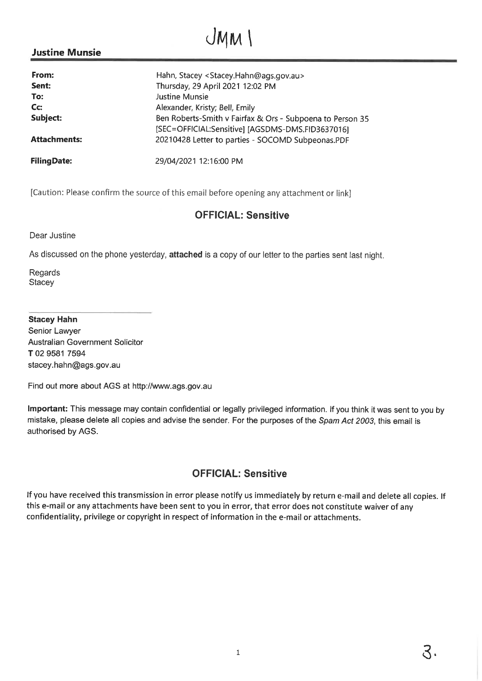# $JMM$

# **Justine Munsie**

| From:               | Hahn, Stacey < Stacey.Hahn@ags.gov.au>                                                                        |
|---------------------|---------------------------------------------------------------------------------------------------------------|
| Sent:               | Thursday, 29 April 2021 12:02 PM                                                                              |
| To:                 | Justine Munsie                                                                                                |
| Cc:                 | Alexander, Kristy; Bell, Emily                                                                                |
| Subject:            | Ben Roberts-Smith v Fairfax & Ors - Subpoena to Person 35<br>[SEC=OFFICIAL:Sensitive] [AGSDMS-DMS.FID3637016] |
| <b>Attachments:</b> | 20210428 Letter to parties - SOCOMD Subpeonas.PDF                                                             |
| <b>FilingDate:</b>  | 29/04/2021 12:16:00 PM                                                                                        |

[Caution: Please confirm the source of this email before opening any attachment or link]

# **OFFICIAL: Sensitive**

Dear Justine

As discussed on the phone yesterday, attached is a copy of our letter to the parties sent last night.

Regards Stacey

#### **Stacey Hahn**

Senior Lawyer **Australian Government Solicitor** T 02 9581 7594 stacey.hahn@ags.gov.au

Find out more about AGS at http://www.ags.gov.au

Important: This message may contain confidential or legally privileged information. If you think it was sent to you by mistake, please delete all copies and advise the sender. For the purposes of the Spam Act 2003, this email is authorised by AGS.

# **OFFICIAL: Sensitive**

If you have received this transmission in error please notify us immediately by return e-mail and delete all copies. If this e-mail or any attachments have been sent to you in error, that error does not constitute waiver of any confidentiality, privilege or copyright in respect of information in the e-mail or attachments.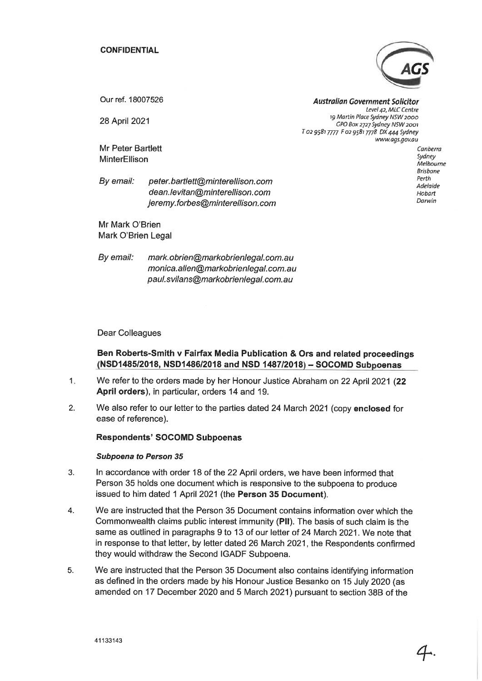**CONFIDENTIAL** 



www.ags.gov.au

Our ref. 18007526

28 April 2021

Mr Peter Bartlett MinterEllison

**Australian Government Solicitor** Level 42, MLC Centre 19 Martin Place Sydney NSW 2000 GPO Box 2727 Sydney NSW 2001 T 02 9581 7777 F 02 9581 7778 DX 444 Sydney

> Canberra Sydney Melbourne **Brishane** Perth Adelaide Hobart Darwin

By email: peter.bartlett@minterellison.com dean.levitan@minterellison.com jeremy.forbes@minterellison.com

Mr Mark O'Brien Mark O'Brien Legal

By email: mark.obrien@markobrienlegal.com.au monica.allen@markobrienlegal.com.au paul.svilans@markobrienlegal.com.au

**Dear Colleagues** 

Ben Roberts-Smith v Fairfax Media Publication & Ors and related proceedings (NSD1485/2018, NSD1486/2018 and NSD 1487/2018) - SOCOMD Subpoenas

- We refer to the orders made by her Honour Justice Abraham on 22 April 2021 (22  $1.$ April orders), in particular, orders 14 and 19.
- We also refer to our letter to the parties dated 24 March 2021 (copy enclosed for  $2.$ ease of reference).

**Respondents' SOCOMD Subpoenas** 

#### **Subpoena to Person 35**

- In accordance with order 18 of the 22 April orders, we have been informed that 3. Person 35 holds one document which is responsive to the subpoena to produce issued to him dated 1 April 2021 (the Person 35 Document).
- We are instructed that the Person 35 Document contains information over which the  $\overline{4}$ . Commonwealth claims public interest immunity (PII). The basis of such claim is the same as outlined in paragraphs 9 to 13 of our letter of 24 March 2021. We note that in response to that letter, by letter dated 26 March 2021, the Respondents confirmed they would withdraw the Second IGADF Subpoena.
- We are instructed that the Person 35 Document also contains identifying information 5. as defined in the orders made by his Honour Justice Besanko on 15 July 2020 (as amended on 17 December 2020 and 5 March 2021) pursuant to section 38B of the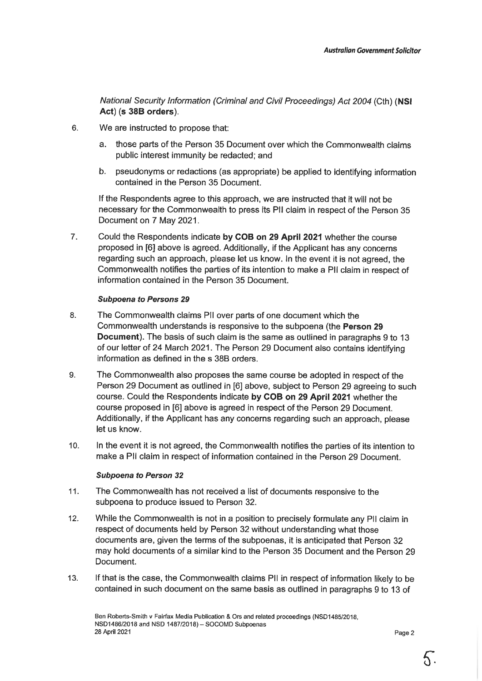National Security Information (Criminal and Civil Proceedings) Act 2004 (Cth) (NSI Act) (s 38B orders).

- $6.$ We are instructed to propose that:
	- those parts of the Person 35 Document over which the Commonwealth claims  $a_{-}$ public interest immunity be redacted; and
	- b. pseudonyms or redactions (as appropriate) be applied to identifying information contained in the Person 35 Document.

If the Respondents agree to this approach, we are instructed that it will not be necessary for the Commonwealth to press its PII claim in respect of the Person 35 Document on 7 May 2021.

 $\overline{7}$ . Could the Respondents indicate by COB on 29 April 2021 whether the course proposed in [6] above is agreed. Additionally, if the Applicant has any concerns regarding such an approach, please let us know. In the event it is not agreed, the Commonwealth notifies the parties of its intention to make a PII claim in respect of information contained in the Person 35 Document.

#### **Subpoena to Persons 29**

- 8. The Commonwealth claims PII over parts of one document which the Commonwealth understands is responsive to the subpoena (the Person 29 **Document**). The basis of such claim is the same as outlined in paragraphs 9 to 13 of our letter of 24 March 2021. The Person 29 Document also contains identifying information as defined in the s 38B orders.
- The Commonwealth also proposes the same course be adopted in respect of the 9. Person 29 Document as outlined in [6] above, subject to Person 29 agreeing to such course. Could the Respondents indicate by COB on 29 April 2021 whether the course proposed in [6] above is agreed in respect of the Person 29 Document. Additionally, if the Applicant has any concerns regarding such an approach, please let us know.
- $10.$ In the event it is not agreed, the Commonwealth notifies the parties of its intention to make a PII claim in respect of information contained in the Person 29 Document.

#### **Subpoena to Person 32**

- $11.$ The Commonwealth has not received a list of documents responsive to the subpoena to produce issued to Person 32.
- $12.$ While the Commonwealth is not in a position to precisely formulate any PII claim in respect of documents held by Person 32 without understanding what those documents are, given the terms of the subpoenas, it is anticipated that Person 32 may hold documents of a similar kind to the Person 35 Document and the Person 29 Document.
- $13.$ If that is the case, the Commonwealth claims PII in respect of information likely to be contained in such document on the same basis as outlined in paragraphs 9 to 13 of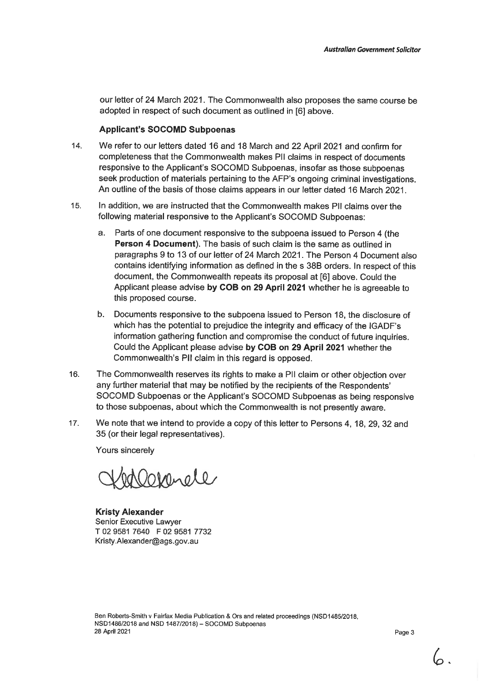our letter of 24 March 2021. The Commonwealth also proposes the same course be adopted in respect of such document as outlined in [6] above.

#### **Applicant's SOCOMD Subpoenas**

- We refer to our letters dated 16 and 18 March and 22 April 2021 and confirm for  $14.$ completeness that the Commonwealth makes PII claims in respect of documents responsive to the Applicant's SOCOMD Subpoenas, insofar as those subpoenas seek production of materials pertaining to the AFP's ongoing criminal investigations. An outline of the basis of those claims appears in our letter dated 16 March 2021.
- 15. In addition, we are instructed that the Commonwealth makes PII claims over the following material responsive to the Applicant's SOCOMD Subpoenas:
	- Parts of one document responsive to the subpoena issued to Person 4 (the a. Person 4 Document). The basis of such claim is the same as outlined in paragraphs 9 to 13 of our letter of 24 March 2021. The Person 4 Document also contains identifying information as defined in the s 38B orders. In respect of this document, the Commonwealth repeats its proposal at [6] above. Could the Applicant please advise by COB on 29 April 2021 whether he is agreeable to this proposed course.
	- b. Documents responsive to the subpoena issued to Person 18, the disclosure of which has the potential to prejudice the integrity and efficacy of the IGADF's information gathering function and compromise the conduct of future inquiries. Could the Applicant please advise by COB on 29 April 2021 whether the Commonwealth's PII claim in this regard is opposed.
- The Commonwealth reserves its rights to make a PII claim or other objection over 16. any further material that may be notified by the recipients of the Respondents' SOCOMD Subpoenas or the Applicant's SOCOMD Subpoenas as being responsive to those subpoenas, about which the Commonwealth is not presently aware.
- $17.$ We note that we intend to provide a copy of this letter to Persons 4, 18, 29, 32 and 35 (or their legal representatives).

Yours sincerely

Henele

**Kristy Alexander** Senior Executive Lawyer T 02 9581 7640 F 02 9581 7732 Kristy.Alexander@ags.gov.au

Page 3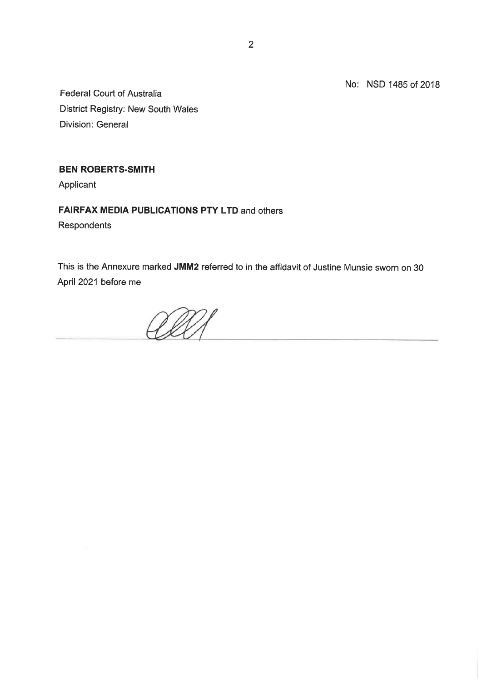No: NSD 1485 of 2018

Federal Court of Australia District Registry: New South Wales Division: General

# **BEN ROBERTS-SMITH**

Applicant

# **FAIRFAX MEDIA PUBLICATIONS PTY LTD and others**

Respondents

This is the Annexure marked JMM2 referred to in the affidavit of Justine Munsie sworn on 30 April 2021 before me

VID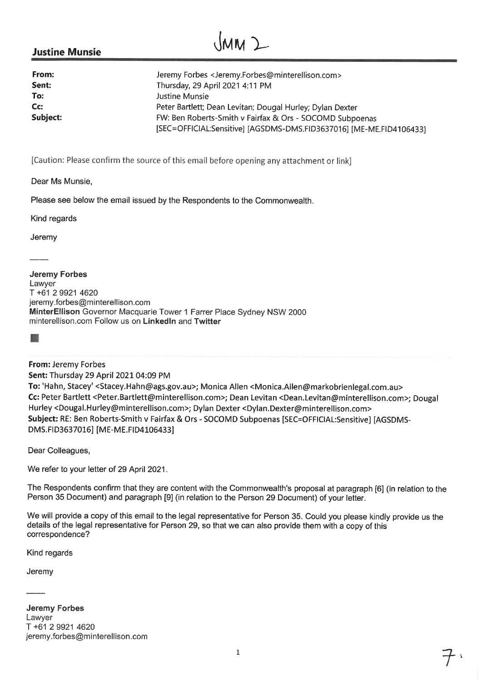# **Justine Munsie**

| From:    | Jeremy Forbes <jeremy.forbes@minterellison.com></jeremy.forbes@minterellison.com> |
|----------|-----------------------------------------------------------------------------------|
| Sent:    | Thursday, 29 April 2021 4:11 PM                                                   |
| To:      | Justine Munsie                                                                    |
| Cc:      | Peter Bartlett; Dean Levitan; Dougal Hurley; Dylan Dexter                         |
| Subject: | FW: Ben Roberts-Smith v Fairfax & Ors - SOCOMD Subpoenas                          |
|          | [SEC=OFFICIAL:Sensitive] [AGSDMS-DMS.FID3637016] [ME-ME.FID4106433]               |

[Caution: Please confirm the source of this email before opening any attachment or link]

Dear Ms Munsie,

Please see below the email issued by the Respondents to the Commonwealth.

Kind regards

Jeremy

**Jeremy Forbes** Lawver T +61 2 9921 4620 jeremy.forbes@minterellison.com MinterEllison Governor Macquarie Tower 1 Farrer Place Sydney NSW 2000 minterellison.com Follow us on LinkedIn and Twitter

## From: Jeremy Forbes

Sent: Thursday 29 April 2021 04:09 PM

To: 'Hahn, Stacey' <Stacey.Hahn@ags.gov.au>; Monica Allen <Monica.Allen@markobrienlegal.com.au> Cc: Peter Bartlett <Peter.Bartlett@minterellison.com>; Dean Levitan <Dean.Levitan@minterellison.com>; Dougal Hurley <Dougal.Hurley@minterellison.com>; Dylan Dexter <Dylan.Dexter@minterellison.com> Subject: RE: Ben Roberts-Smith v Fairfax & Ors - SOCOMD Subpoenas [SEC=OFFICIAL:Sensitive] [AGSDMS-DMS.FID3637016] [ME-ME.FID4106433]

Dear Colleagues,

We refer to your letter of 29 April 2021.

The Respondents confirm that they are content with the Commonwealth's proposal at paragraph [6] (in relation to the Person 35 Document) and paragraph [9] (in relation to the Person 29 Document) of your letter.

We will provide a copy of this email to the legal representative for Person 35. Could you please kindly provide us the details of the legal representative for Person 29, so that we can also provide them with a copy of this correspondence?

Kind regards

Jeremy

**Jeremy Forbes** Lawyer T +61 2 9921 4620 jeremy.forbes@minterellison.com